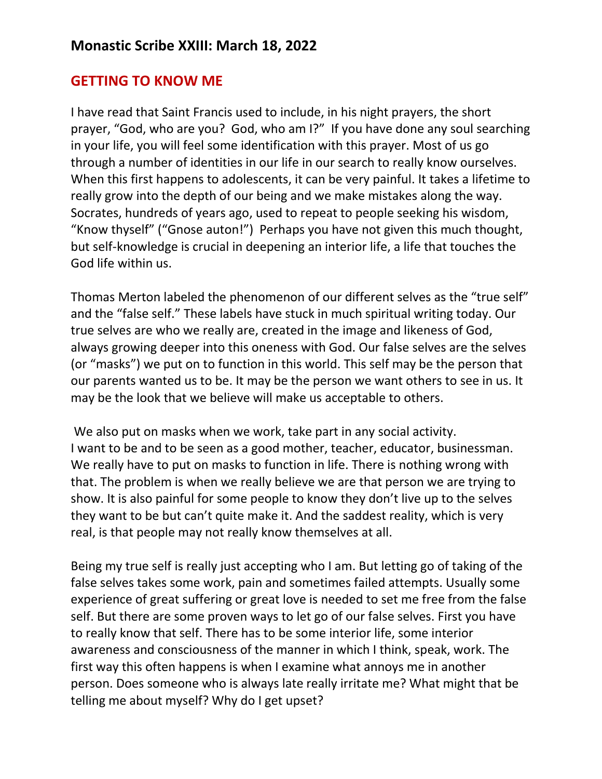## **GETTING TO KNOW ME**

I have read that Saint Francis used to include, in his night prayers, the short prayer, "God, who are you? God, who am I?" If you have done any soul searching in your life, you will feel some identification with this prayer. Most of us go through a number of identities in our life in our search to really know ourselves. When this first happens to adolescents, it can be very painful. It takes a lifetime to really grow into the depth of our being and we make mistakes along the way. Socrates, hundreds of years ago, used to repeat to people seeking his wisdom, "Know thyself" ("Gnose auton!") Perhaps you have not given this much thought, but self-knowledge is crucial in deepening an interior life, a life that touches the God life within us.

Thomas Merton labeled the phenomenon of our different selves as the "true self" and the "false self." These labels have stuck in much spiritual writing today. Our true selves are who we really are, created in the image and likeness of God, always growing deeper into this oneness with God. Our false selves are the selves (or "masks") we put on to function in this world. This self may be the person that our parents wanted us to be. It may be the person we want others to see in us. It may be the look that we believe will make us acceptable to others.

We also put on masks when we work, take part in any social activity. I want to be and to be seen as a good mother, teacher, educator, businessman. We really have to put on masks to function in life. There is nothing wrong with that. The problem is when we really believe we are that person we are trying to show. It is also painful for some people to know they don't live up to the selves they want to be but can't quite make it. And the saddest reality, which is very real, is that people may not really know themselves at all.

Being my true self is really just accepting who I am. But letting go of taking of the false selves takes some work, pain and sometimes failed attempts. Usually some experience of great suffering or great love is needed to set me free from the false self. But there are some proven ways to let go of our false selves. First you have to really know that self. There has to be some interior life, some interior awareness and consciousness of the manner in which I think, speak, work. The first way this often happens is when I examine what annoys me in another person. Does someone who is always late really irritate me? What might that be telling me about myself? Why do I get upset?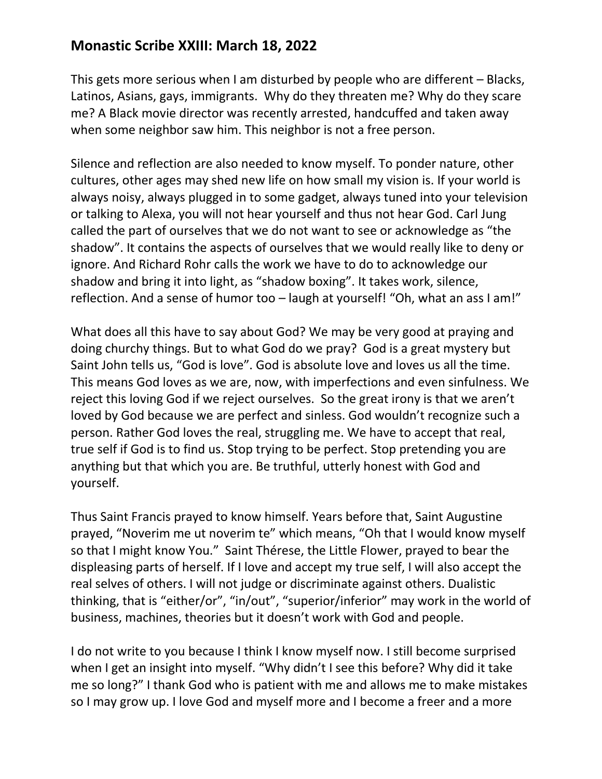## **Monastic Scribe XXIII: March 18, 2022**

This gets more serious when I am disturbed by people who are different – Blacks, Latinos, Asians, gays, immigrants. Why do they threaten me? Why do they scare me? A Black movie director was recently arrested, handcuffed and taken away when some neighbor saw him. This neighbor is not a free person.

Silence and reflection are also needed to know myself. To ponder nature, other cultures, other ages may shed new life on how small my vision is. If your world is always noisy, always plugged in to some gadget, always tuned into your television or talking to Alexa, you will not hear yourself and thus not hear God. Carl Jung called the part of ourselves that we do not want to see or acknowledge as "the shadow". It contains the aspects of ourselves that we would really like to deny or ignore. And Richard Rohr calls the work we have to do to acknowledge our shadow and bring it into light, as "shadow boxing". It takes work, silence, reflection. And a sense of humor too – laugh at yourself! "Oh, what an ass I am!"

What does all this have to say about God? We may be very good at praying and doing churchy things. But to what God do we pray? God is a great mystery but Saint John tells us, "God is love". God is absolute love and loves us all the time. This means God loves as we are, now, with imperfections and even sinfulness. We reject this loving God if we reject ourselves. So the great irony is that we aren't loved by God because we are perfect and sinless. God wouldn't recognize such a person. Rather God loves the real, struggling me. We have to accept that real, true self if God is to find us. Stop trying to be perfect. Stop pretending you are anything but that which you are. Be truthful, utterly honest with God and yourself.

Thus Saint Francis prayed to know himself. Years before that, Saint Augustine prayed, "Noverim me ut noverim te" which means, "Oh that I would know myself so that I might know You." Saint Thérese, the Little Flower, prayed to bear the displeasing parts of herself. If I love and accept my true self, I will also accept the real selves of others. I will not judge or discriminate against others. Dualistic thinking, that is "either/or", "in/out", "superior/inferior" may work in the world of business, machines, theories but it doesn't work with God and people.

I do not write to you because I think I know myself now. I still become surprised when I get an insight into myself. "Why didn't I see this before? Why did it take me so long?" I thank God who is patient with me and allows me to make mistakes so I may grow up. I love God and myself more and I become a freer and a more